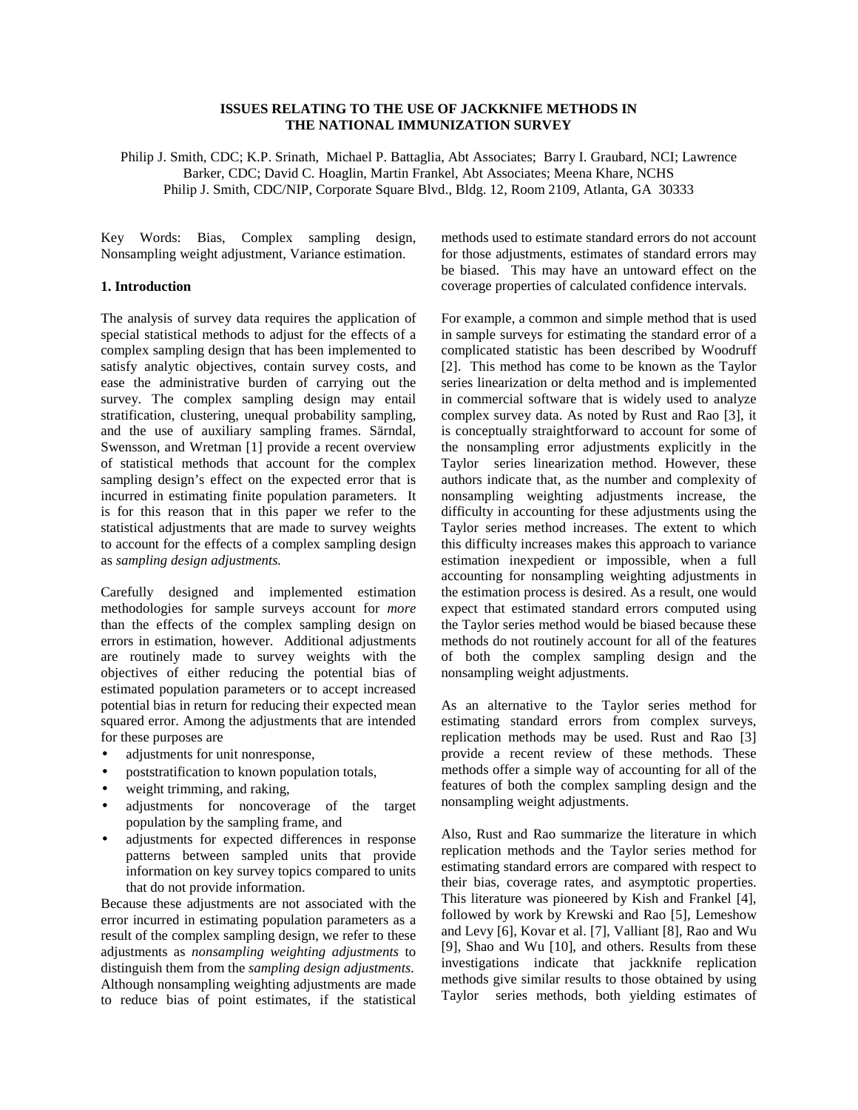# **ISSUES RELATING TO THE USE OF JACKKNIFE METHODS IN THE NATIONAL IMMUNIZATION SURVEY**

Philip J. Smith, CDC; K.P. Srinath, Michael P. Battaglia, Abt Associates; Barry I. Graubard, NCI; Lawrence Barker, CDC; David C. Hoaglin, Martin Frankel, Abt Associates; Meena Khare, NCHS Philip J. Smith, CDC/NIP, Corporate Square Blvd., Bldg. 12, Room 2109, Atlanta, GA 30333

Key Words: Bias, Complex sampling design, Nonsampling weight adjustment, Variance estimation.

# **1. Introduction**

The analysis of survey data requires the application of special statistical methods to adjust for the effects of a complex sampling design that has been implemented to satisfy analytic objectives, contain survey costs, and ease the administrative burden of carrying out the survey. The complex sampling design may entail stratification, clustering, unequal probability sampling, and the use of auxiliary sampling frames. Särndal, Swensson, and Wretman [1] provide a recent overview of statistical methods that account for the complex sampling design's effect on the expected error that is incurred in estimating finite population parameters. It is for this reason that in this paper we refer to the statistical adjustments that are made to survey weights to account for the effects of a complex sampling design as *sampling design adjustments.* 

Carefully designed and implemented estimation methodologies for sample surveys account for *more*  than the effects of the complex sampling design on errors in estimation, however. Additional adjustments are routinely made to survey weights with the objectives of either reducing the potential bias of estimated population parameters or to accept increased potential bias in return for reducing their expected mean squared error. Among the adjustments that are intended for these purposes are

- adjustments for unit nonresponse,
- poststratification to known population totals,
- weight trimming, and raking,
- adjustments for noncoverage of the target population by the sampling frame, and
- adjustments for expected differences in response patterns between sampled units that provide information on key survey topics compared to units that do not provide information.

Because these adjustments are not associated with the error incurred in estimating population parameters as a result of the complex sampling design, we refer to these adjustments as *nonsampling weighting adjustments* to distinguish them from the *sampling design adjustments*. Although nonsampling weighting adjustments are made to reduce bias of point estimates, if the statistical

methods used to estimate standard errors do not account for those adjustments, estimates of standard errors may be biased. This may have an untoward effect on the coverage properties of calculated confidence intervals.

For example, a common and simple method that is used in sample surveys for estimating the standard error of a complicated statistic has been described by Woodruff [2]. This method has come to be known as the Taylor series linearization or delta method and is implemented in commercial software that is widely used to analyze complex survey data. As noted by Rust and Rao [3], it is conceptually straightforward to account for some of the nonsampling error adjustments explicitly in the Taylor series linearization method. However, these authors indicate that, as the number and complexity of nonsampling weighting adjustments increase, the difficulty in accounting for these adjustments using the Taylor series method increases. The extent to which this difficulty increases makes this approach to variance estimation inexpedient or impossible, when a full accounting for nonsampling weighting adjustments in the estimation process is desired. As a result, one would expect that estimated standard errors computed using the Taylor series method would be biased because these methods do not routinely account for all of the features of both the complex sampling design and the nonsampling weight adjustments.

As an alternative to the Taylor series method for estimating standard errors from complex surveys, replication methods may be used. Rust and Rao [3] provide a recent review of these methods. These methods offer a simple way of accounting for all of the features of both the complex sampling design and the nonsampling weight adjustments.

Also, Rust and Rao summarize the literature in which replication methods and the Taylor series method for estimating standard errors are compared with respect to their bias, coverage rates, and asymptotic properties. This literature was pioneered by Kish and Frankel [4], followed by work by Krewski and Rao [5], Lemeshow and Levy [6], Kovar et al. [7], Valliant [8], Rao and Wu [9], Shao and Wu [10], and others. Results from these investigations indicate that jackknife replication methods give similar results to those obtained by using Taylor series methods, both yielding estimates of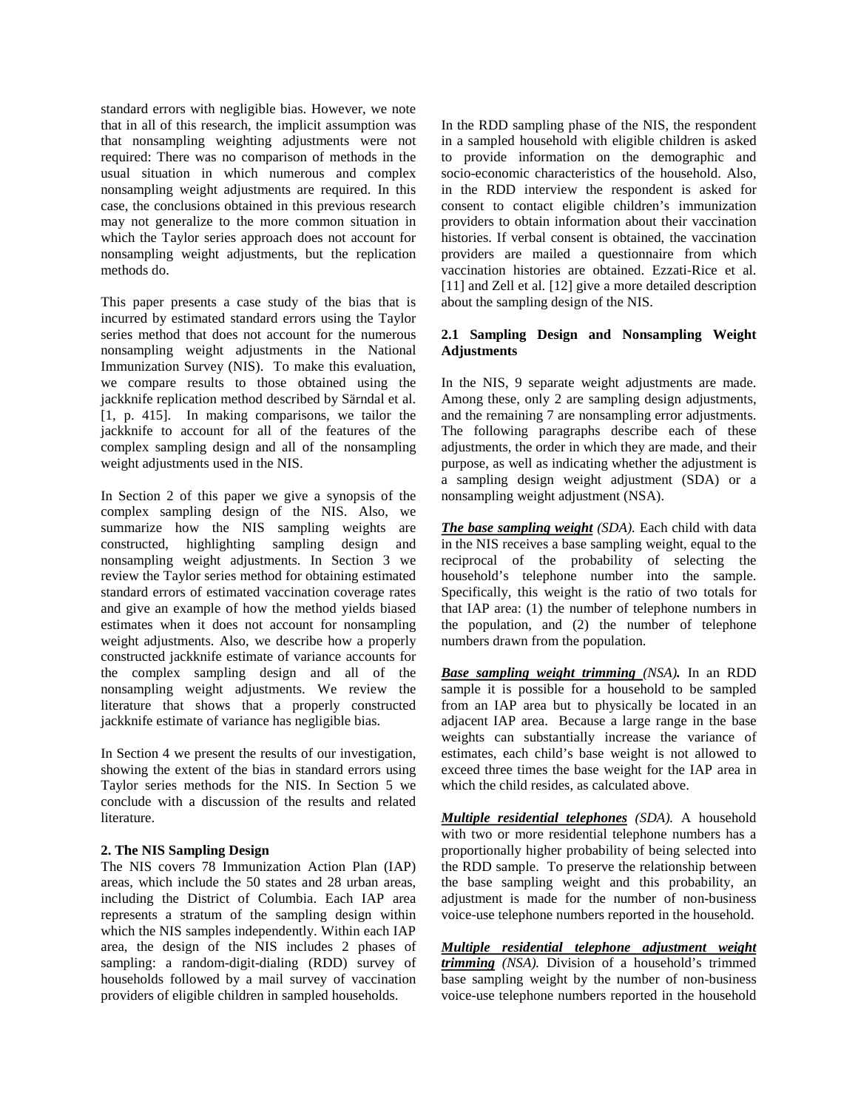standard errors with negligible bias. However, we note that in all of this research, the implicit assumption was that nonsampling weighting adjustments were not required: There was no comparison of methods in the usual situation in which numerous and complex nonsampling weight adjustments are required. In this case, the conclusions obtained in this previous research may not generalize to the more common situation in which the Taylor series approach does not account for nonsampling weight adjustments, but the replication methods do.

This paper presents a case study of the bias that is incurred by estimated standard errors using the Taylor series method that does not account for the numerous nonsampling weight adjustments in the National Immunization Survey (NIS). To make this evaluation, we compare results to those obtained using the jackknife replication method described by Särndal et al. [1, p. 415]. In making comparisons, we tailor the jackknife to account for all of the features of the complex sampling design and all of the nonsampling weight adjustments used in the NIS.

In Section 2 of this paper we give a synopsis of the complex sampling design of the NIS. Also, we summarize how the NIS sampling weights are constructed, highlighting sampling design and nonsampling weight adjustments. In Section 3 we review the Taylor series method for obtaining estimated standard errors of estimated vaccination coverage rates and give an example of how the method yields biased estimates when it does not account for nonsampling weight adjustments. Also, we describe how a properly constructed jackknife estimate of variance accounts for the complex sampling design and all of the nonsampling weight adjustments. We review the literature that shows that a properly constructed jackknife estimate of variance has negligible bias.

In Section 4 we present the results of our investigation, showing the extent of the bias in standard errors using Taylor series methods for the NIS. In Section 5 we conclude with a discussion of the results and related literature.

#### **2. The NIS Sampling Design**

The NIS covers 78 Immunization Action Plan (IAP) areas, which include the 50 states and 28 urban areas, including the District of Columbia. Each IAP area represents a stratum of the sampling design within which the NIS samples independently. Within each IAP area, the design of the NIS includes 2 phases of sampling: a random-digit-dialing (RDD) survey of households followed by a mail survey of vaccination providers of eligible children in sampled households.

In the RDD sampling phase of the NIS, the respondent in a sampled household with eligible children is asked to provide information on the demographic and socio-economic characteristics of the household. Also, in the RDD interview the respondent is asked for consent to contact eligible children's immunization providers to obtain information about their vaccination histories. If verbal consent is obtained, the vaccination providers are mailed a questionnaire from which vaccination histories are obtained. Ezzati-Rice et al. [11] and Zell et al. [12] give a more detailed description about the sampling design of the NIS.

### **2.1 Sampling Design and Nonsampling Weight Adjustments**

In the NIS, 9 separate weight adjustments are made. Among these, only 2 are sampling design adjustments, and the remaining 7 are nonsampling error adjustments. The following paragraphs describe each of these adjustments, the order in which they are made, and their purpose, as well as indicating whether the adjustment is a sampling design weight adjustment (SDA) or a nonsampling weight adjustment (NSA).

*The base sampling weight (SDA).* Each child with data in the NIS receives a base sampling weight, equal to the reciprocal of the probability of selecting the household's telephone number into the sample. Specifically, this weight is the ratio of two totals for that IAP area: (1) the number of telephone numbers in the population, and (2) the number of telephone numbers drawn from the population.

*Base sampling weight trimming (NSA).* In an RDD sample it is possible for a household to be sampled from an IAP area but to physically be located in an adjacent IAP area. Because a large range in the base weights can substantially increase the variance of estimates, each child's base weight is not allowed to exceed three times the base weight for the IAP area in which the child resides, as calculated above.

*Multiple residential telephones (SDA).* A household with two or more residential telephone numbers has a proportionally higher probability of being selected into the RDD sample. To preserve the relationship between the base sampling weight and this probability, an adjustment is made for the number of non-business voice-use telephone numbers reported in the household.

*Multiple residential telephone adjustment weight trimming (NSA).* Division of a household's trimmed base sampling weight by the number of non-business voice-use telephone numbers reported in the household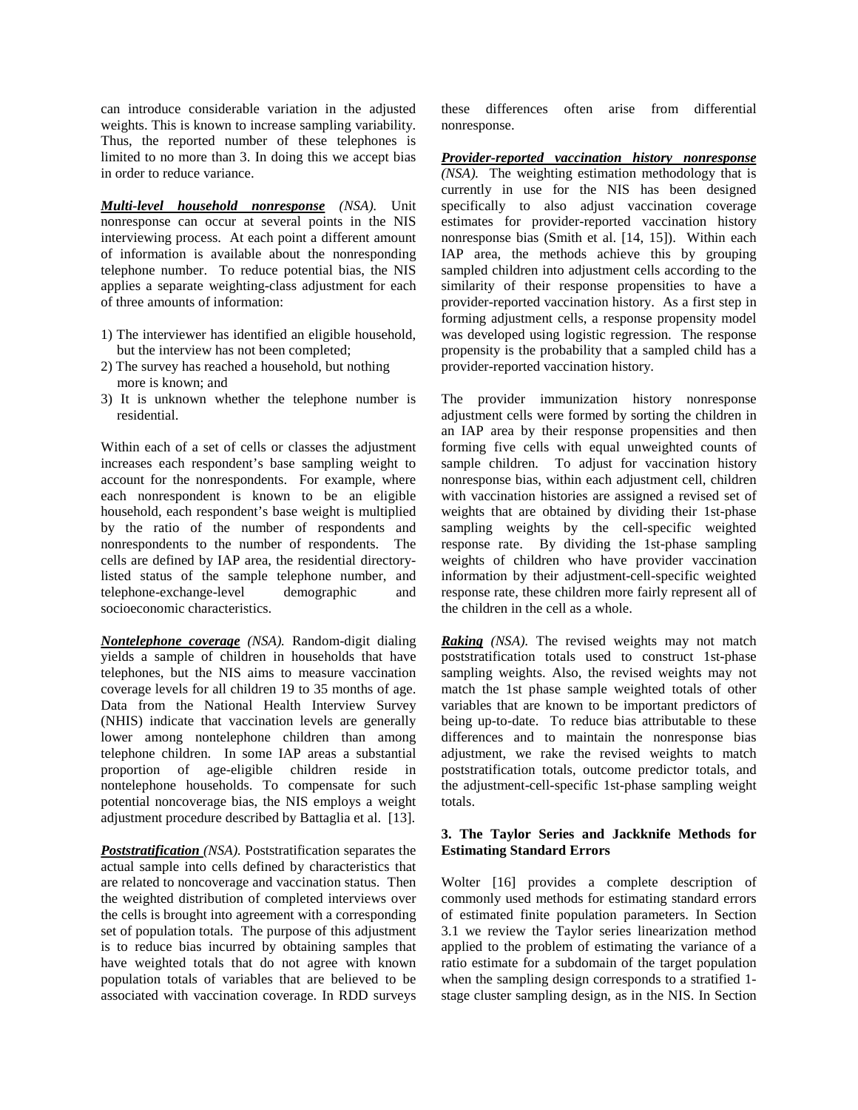can introduce considerable variation in the adjusted weights. This is known to increase sampling variability. Thus, the reported number of these telephones is limited to no more than 3. In doing this we accept bias in order to reduce variance.

*Multi-level household nonresponse (NSA).* Unit nonresponse can occur at several points in the NIS interviewing process. At each point a different amount of information is available about the nonresponding telephone number. To reduce potential bias, the NIS applies a separate weighting-class adjustment for each of three amounts of information:

- 1) The interviewer has identified an eligible household, but the interview has not been completed;
- 2) The survey has reached a household, but nothing more is known; and
- 3) It is unknown whether the telephone number is residential.

Within each of a set of cells or classes the adjustment increases each respondent's base sampling weight to account for the nonrespondents. For example, where each nonrespondent is known to be an eligible household, each respondent's base weight is multiplied by the ratio of the number of respondents and nonrespondents to the number of respondents. The cells are defined by IAP area, the residential directorylisted status of the sample telephone number, and telephone-exchange-level demographic and socioeconomic characteristics.

*Nontelephone coverage (NSA).* Random-digit dialing yields a sample of children in households that have telephones, but the NIS aims to measure vaccination coverage levels for all children 19 to 35 months of age. Data from the National Health Interview Survey (NHIS) indicate that vaccination levels are generally lower among nontelephone children than among telephone children. In some IAP areas a substantial proportion of age-eligible children reside in nontelephone households. To compensate for such potential noncoverage bias, the NIS employs a weight adjustment procedure described by Battaglia et al. [13].

*Poststratification (NSA).* Poststratification separates the actual sample into cells defined by characteristics that are related to noncoverage and vaccination status. Then the weighted distribution of completed interviews over the cells is brought into agreement with a corresponding set of population totals. The purpose of this adjustment is to reduce bias incurred by obtaining samples that have weighted totals that do not agree with known population totals of variables that are believed to be associated with vaccination coverage. In RDD surveys

these differences often arise from differential nonresponse.

*Provider-reported vaccination history nonresponse (NSA).* The weighting estimation methodology that is currently in use for the NIS has been designed specifically to also adjust vaccination coverage estimates for provider-reported vaccination history nonresponse bias (Smith et al. [14, 15]). Within each IAP area, the methods achieve this by grouping sampled children into adjustment cells according to the similarity of their response propensities to have a provider-reported vaccination history. As a first step in forming adjustment cells, a response propensity model was developed using logistic regression. The response propensity is the probability that a sampled child has a provider-reported vaccination history.

The provider immunization history nonresponse adjustment cells were formed by sorting the children in an IAP area by their response propensities and then forming five cells with equal unweighted counts of sample children. To adjust for vaccination history nonresponse bias, within each adjustment cell, children with vaccination histories are assigned a revised set of weights that are obtained by dividing their 1st-phase sampling weights by the cell-specific weighted response rate. By dividing the 1st-phase sampling weights of children who have provider vaccination information by their adjustment-cell-specific weighted response rate, these children more fairly represent all of the children in the cell as a whole.

*Raking (NSA).* The revised weights may not match poststratification totals used to construct 1st-phase sampling weights. Also, the revised weights may not match the 1st phase sample weighted totals of other variables that are known to be important predictors of being up-to-date. To reduce bias attributable to these differences and to maintain the nonresponse bias adjustment, we rake the revised weights to match poststratification totals, outcome predictor totals, and the adjustment-cell-specific 1st-phase sampling weight totals.

# **3. The Taylor Series and Jackknife Methods for Estimating Standard Errors**

Wolter [16] provides a complete description of commonly used methods for estimating standard errors of estimated finite population parameters. In Section 3.1 we review the Taylor series linearization method applied to the problem of estimating the variance of a ratio estimate for a subdomain of the target population when the sampling design corresponds to a stratified 1 stage cluster sampling design, as in the NIS. In Section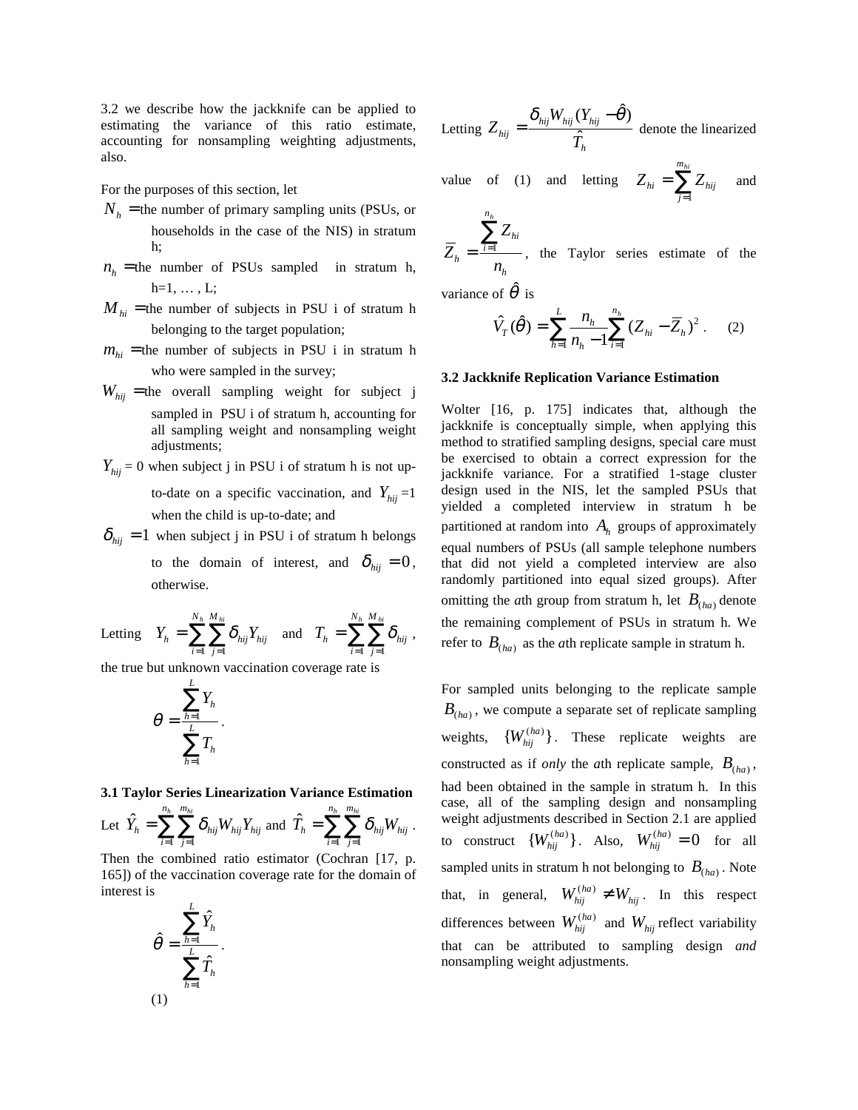3.2 we describe how the jackknife can be applied to estimating the variance of this ratio estimate, accounting for nonsampling weighting adjustments, also.

For the purposes of this section, let

- $N_h$  = the number of primary sampling units (PSUs, or households in the case of the NIS) in stratum h;
- $n<sub>h</sub>$  = the number of PSUs sampled in stratum h,  $h=1, \ldots, L;$
- $M_{hi}$  = the number of subjects in PSU i of stratum h belonging to the target population;
- $m_{hi}$  = the number of subjects in PSU i in stratum h who were sampled in the survey;
- $W_{hij}$  = the overall sampling weight for subject j sampled in PSU i of stratum h, accounting for all sampling weight and nonsampling weight adjustments;
- $Y_{hii}$  = 0 when subject j in PSU i of stratum h is not upto-date on a specific vaccination, and  $Y_{hii} = 1$ when the child is up-to-date; and
- $\delta_{hij}$  = 1 when subject j in PSU i of stratum h belongs to the domain of interest, and  $\delta_{\eta i j} = 0$ , otherwise.

Letting  $Y_h = \sum_{i=1}^{N_h} \sum_{j=1}^{M_{hi}} \delta_{hij} Y_{hij}$  and  $T_h = \sum_{i=1}^{N_h} \sum_{j=1}^{M_{hi}} \delta_{hij}$ ,

the true but unknown vaccination coverage rate is

$$
\theta = \frac{\sum_{h=1}^{n} Y_h}{\sum_{h=1}^{L} T_h}.
$$

*L* 

#### **3.1 Taylor Series Linearization Variance Estimation**

Let 
$$
\hat{Y}_h = \sum_{i=1}^{n_h} \sum_{j=1}^{m_{hi}} \delta_{hij} W_{hij} Y_{hij}
$$
 and  $\hat{T}_h = \sum_{i=1}^{n_h} \sum_{j=1}^{m_{hi}} \delta_{hij} W_{hij}$ .

Then the combined ratio estimator (Cochran [17, p. 165]) of the vaccination coverage rate for the domain of interest is

$$
\hat{\theta} = \frac{\sum_{h=1}^{L} \hat{Y}_h}{\sum_{h=1}^{L} \hat{T}_h}.
$$
\n(1)

Letting 
$$
Z_{hij} = \frac{\delta_{hij} W_{hij} (Y_{hij} - \hat{\theta})}{\hat{T}_h}
$$
 denote the linearized

value of (1) and letting 
$$
Z_{hi} = \sum_{j=1}^{m_{hi}} Z_{hij}
$$
 and

 $\sum^{n_h} Z_{hi}$  $\overline{Z}_h = \frac{i-1}{h}$ , the Taylor series estimate of the  $n_h^{\parallel}$ 

variance of  $\hat{\theta}$  is

$$
\hat{V}_T(\hat{\theta}) = \sum_{h=1}^{L} \frac{n_h}{n_h - 1} \sum_{i=1}^{n_h} (Z_{hi} - \overline{Z}_h)^2
$$
 (2)

#### **3.2 Jackknife Replication Variance Estimation**

Wolter [16, p. 175] indicates that, although the jackknife is conceptually simple, when applying this method to stratified sampling designs, special care must be exercised to obtain a correct expression for the jackknife variance. For a stratified 1-stage cluster design used in the NIS, let the sampled PSUs that yielded a completed interview in stratum h be partitioned at random into  $A<sub>h</sub>$  groups of approximately equal numbers of PSUs (all sample telephone numbers that did not yield a completed interview are also randomly partitioned into equal sized groups). After omitting the *a*th group from stratum h, let  $B_{(ha)}$  denote the remaining complement of PSUs in stratum h. We refer to  $B_{(ha)}$  as the *a*th replicate sample in stratum h.

 $B_{(ha)}$ , we compute a separate set of replicate sampling For sampled units belonging to the replicate sample weights,  ${W_{hii}^{(ha)}}$ . These replicate weights are constructed as if *only* the *a*th replicate sample,  $B_{(ha)}$ , had been obtained in the sample in stratum h. In this case, all of the sampling design and nonsampling weight adjustments described in Section 2.1 are applied to construct  $\{W_{hij}^{(ha)}\}$ . Also,  $W_{hij}^{(ha)} = 0$  for all sampled units in stratum h not belonging to  $B_{(ha)}$ . Note that, in general,  $W_{hij}^{(ha)} \neq W_{hij}$ . In this respect differences between  $W_{hij}^{(ha)}$  and  $W_{hij}$  reflect variability that can be attributed to sampling design *and*  nonsampling weight adjustments.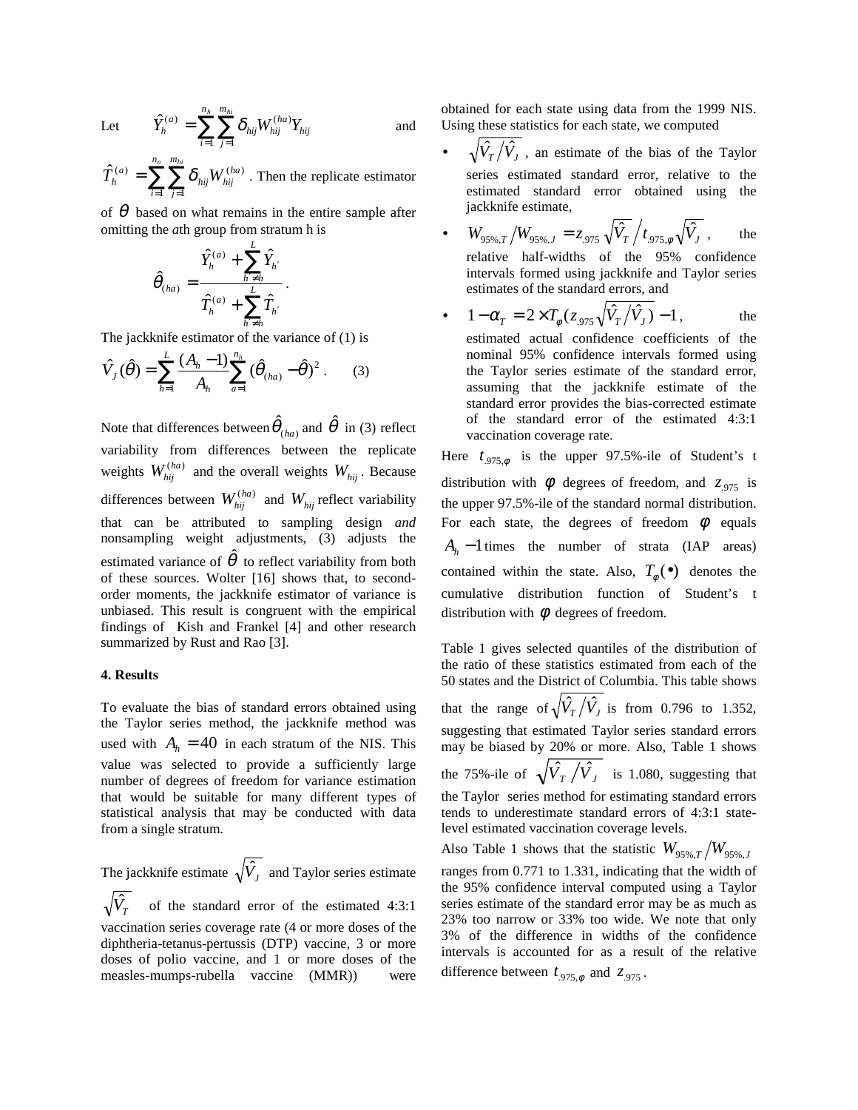Let 
$$
\hat{Y}_{h}^{(a)} = \sum_{i=1}^{n_h} \sum_{j=1}^{m_{hi}} \delta_{hij} W_{hij}^{(ha)} Y_{hij}
$$
 and

 $\hat{T}_h^{(a)} = \sum_{i=1}^{n_h} \sum_{j=1}^{m_{hi}} \delta_{hij} W_{hij}^{(ha)}$ . Then the replicate estimator

of  $\theta$  based on what remains in the entire sample after omitting the *a*th group from stratum h is

$$
\hat{\theta}_{(ha)} = \frac{\hat{Y}_h^{(a)} + \sum_{h' \neq h}^{L} \hat{Y}_{h'}}{\hat{T}_h^{(a)} + \sum_{h' \neq h}^{L} \hat{T}_{h'}}.
$$

The jackknife estimator of the variance of (1) is

$$
\hat{V}_J(\hat{\theta}) = \sum_{h=1}^{L} \frac{(A_h - 1)}{A_h} \sum_{a=1}^{n_h} (\hat{\theta}_{(ha)} - \hat{\theta})^2.
$$
 (3)

Note that differences between  $\hat{\theta}_{\scriptscriptstyle (ha)}$  and  $\hat{\theta}$  in (3) reflect variability from differences between the replicate weights  $W_{hij}^{(ha)}$  and the overall weights  $W_{hij}$ . Because differences between  $W_{hij}^{(ha)}$  and  $W_{hij}$  reflect variability that can be attributed to sampling design *and*  nonsampling weight adjustments, (3) adjusts the estimated variance of  $\hat{\theta}$  to reflect variability from both of these sources. Wolter [16] shows that, to secondorder moments, the jackknife estimator of variance is unbiased. This result is congruent with the empirical findings of Kish and Frankel [4] and other research summarized by Rust and Rao [3].

#### **4. Results**

To evaluate the bias of standard errors obtained using the Taylor series method, the jackknife method was used with  $A<sub>h</sub> = 40$  in each stratum of the NIS. This value was selected to provide a sufficiently large number of degrees of freedom for variance estimation that would be suitable for many different types of statistical analysis that may be conducted with data from a single stratum.

The jackknife estimate  $\sqrt{\hat{V}_j}$  and Taylor series estimate  $\sqrt{\hat{V}_T}$ 

of the standard error of the estimated 4:3:1 vaccination series coverage rate (4 or more doses of the diphtheria-tetanus-pertussis (DTP) vaccine, 3 or more doses of polio vaccine, and 1 or more doses of the measles-mumps-rubella vaccine (MMR)) were obtained for each state using data from the 1999 NIS. Using these statistics for each state, we computed

- $\sqrt{\hat{V}_T/\hat{V}_J}$ , an estimate of the bias of the Taylor series estimated standard error, relative to the estimated standard error obtained using the jackknife estimate,
- $W_{95\%,T} / W_{95\%,J} = z_{.975} \sqrt{\hat{V}_T / t_{.975,\phi} \sqrt{\hat{V}_J}}$ , the relative half-widths of the 95% confidence intervals formed using jackknife and Taylor series estimates of the standard errors, and
- $1 \alpha_T = 2 \times T_\phi(z_{.975} \sqrt{\hat{V}_T}/\hat{V}_J) 1$ , the

estimated actual confidence coefficients of the nominal 95% confidence intervals formed using the Taylor series estimate of the standard error, assuming that the jackknife estimate of the standard error provides the bias-corrected estimate of the standard error of the estimated 4:3:1 vaccination coverage rate.

Here  $t_{.975, \phi}$  is the upper 97.5%-ile of Student's t distribution with  $\phi$  degrees of freedom, and  $z_{.975}$  is the upper 97.5%-ile of the standard normal distribution. For each state, the degrees of freedom  $\phi$  equals  $A_h$  − 1 times the number of strata (IAP areas) contained within the state. Also,  $T_{\phi}(\bullet)$  denotes the cumulative distribution function of Student's t distribution with  $\phi$  degrees of freedom.

Table 1 gives selected quantiles of the distribution of the ratio of these statistics estimated from each of the 50 states and the District of Columbia. This table shows that the range of  $\sqrt{\hat{V}_T/\hat{V}_J}$  is from 0.796 to 1.352, suggesting that estimated Taylor series standard errors may be biased by 20% or more. Also, Table 1 shows the 75%-ile of  $\sqrt{\hat{V}_T / \hat{V}_J}$  is 1.080, suggesting that the Taylor series method for estimating standard errors tends to underestimate standard errors of 4:3:1 statelevel estimated vaccination coverage levels. Also Table 1 shows that the statistic  $W_{95\%T}/W_{95\%J}$ ranges from 0.771 to 1.331, indicating that the width of the 95% confidence interval computed using a Taylor series estimate of the standard error may be as much as 23% too narrow or 33% too wide. We note that only 3% of the difference in widths of the confidence intervals is accounted for as a result of the relative

difference between  $t_{.975,\phi}$  and  $z_{.975}$ .